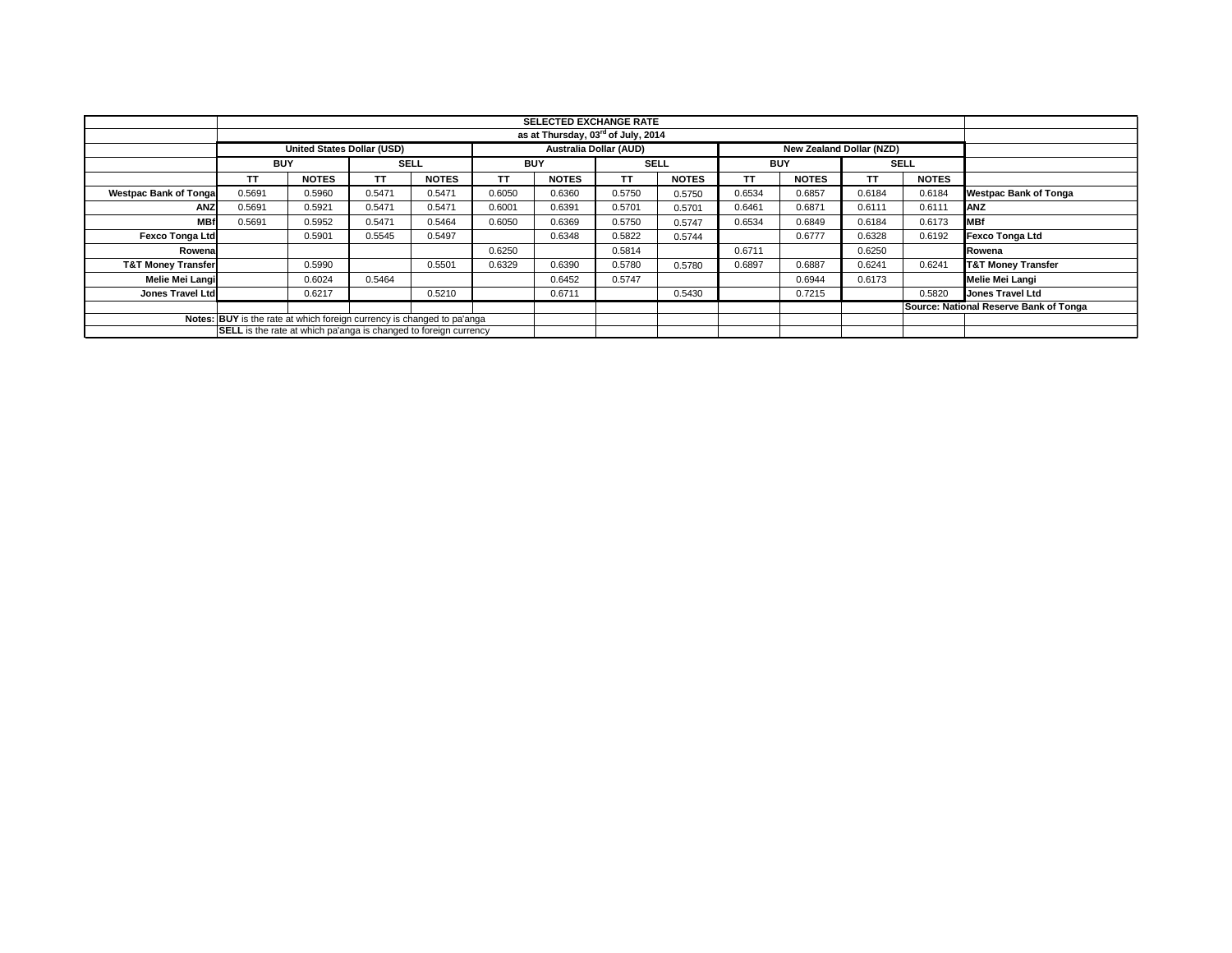|                                                                        |                                                                         |                                   |             |              |            | <b>SELECTED EXCHANGE RATE</b>                  |             |              |            |                          |        |              |                                        |
|------------------------------------------------------------------------|-------------------------------------------------------------------------|-----------------------------------|-------------|--------------|------------|------------------------------------------------|-------------|--------------|------------|--------------------------|--------|--------------|----------------------------------------|
|                                                                        |                                                                         |                                   |             |              |            | as at Thursday, 03 <sup>rd</sup> of July, 2014 |             |              |            |                          |        |              |                                        |
|                                                                        |                                                                         | <b>United States Dollar (USD)</b> |             |              |            | Australia Dollar (AUD)                         |             |              |            | New Zealand Dollar (NZD) |        |              |                                        |
|                                                                        | <b>BUY</b>                                                              |                                   | <b>SELL</b> |              | <b>BUY</b> |                                                | <b>SELL</b> |              | <b>BUY</b> |                          |        | <b>SELL</b>  |                                        |
|                                                                        | <b>TT</b>                                                               | <b>NOTES</b>                      | TΤ          | <b>NOTES</b> | TΤ         | <b>NOTES</b>                                   | TΤ          | <b>NOTES</b> | TΤ         | <b>NOTES</b>             | TΤ     | <b>NOTES</b> |                                        |
| <b>Westpac Bank of Tonga</b>                                           | 0.5691                                                                  | 0.5960                            | 0.5471      | 0.5471       | 0.6050     | 0.6360                                         | 0.5750      | 0.5750       | 0.6534     | 0.6857                   | 0.6184 | 0.6184       | <b>Westpac Bank of Tonga</b>           |
| ANZ                                                                    | 0.5691                                                                  | 0.5921                            | 0.5471      | 0.5471       | 0.6001     | 0.6391                                         | 0.5701      | 0.5701       | 0.6461     | 0.6871                   | 0.6111 | 0.6111       | <b>ANZ</b>                             |
| <b>MBf</b>                                                             | 0.5691                                                                  | 0.5952                            | 0.5471      | 0.5464       | 0.6050     | 0.6369                                         | 0.5750      | 0.5747       | 0.6534     | 0.6849                   | 0.6184 | 0.6173       | <b>MBf</b>                             |
| <b>Fexco Tonga Ltd</b>                                                 |                                                                         | 0.5901                            | 0.5545      | 0.5497       |            | 0.6348                                         | 0.5822      | 0.5744       |            | 0.6777                   | 0.6328 | 0.6192       | <b>Fexco Tonga Ltd</b>                 |
| Rowenal                                                                |                                                                         |                                   |             |              | 0.6250     |                                                | 0.5814      |              | 0.6711     |                          | 0.6250 |              | Rowena                                 |
| <b>T&amp;T Money Transfer</b>                                          |                                                                         | 0.5990                            |             | 0.5501       | 0.6329     | 0.6390                                         | 0.5780      | 0.5780       | 0.6897     | 0.6887                   | 0.6241 | 0.6241       | <b>T&amp;T Money Transfer</b>          |
| Melie Mei Langi                                                        |                                                                         | 0.6024                            | 0.5464      |              |            | 0.6452                                         | 0.5747      |              |            | 0.6944                   | 0.6173 |              | Melie Mei Langi                        |
| <b>Jones Travel Ltd</b>                                                |                                                                         | 0.6217                            |             | 0.5210       |            | 0.6711                                         |             | 0.5430       |            | 0.7215                   |        | 0.5820       | Jones Travel Ltd                       |
|                                                                        |                                                                         |                                   |             |              |            |                                                |             |              |            |                          |        |              | Source: National Reserve Bank of Tonga |
| Notes: BUY is the rate at which foreign currency is changed to pa'anga |                                                                         |                                   |             |              |            |                                                |             |              |            |                          |        |              |                                        |
|                                                                        | <b>SELL</b> is the rate at which pa'anga is changed to foreign currency |                                   |             |              |            |                                                |             |              |            |                          |        |              |                                        |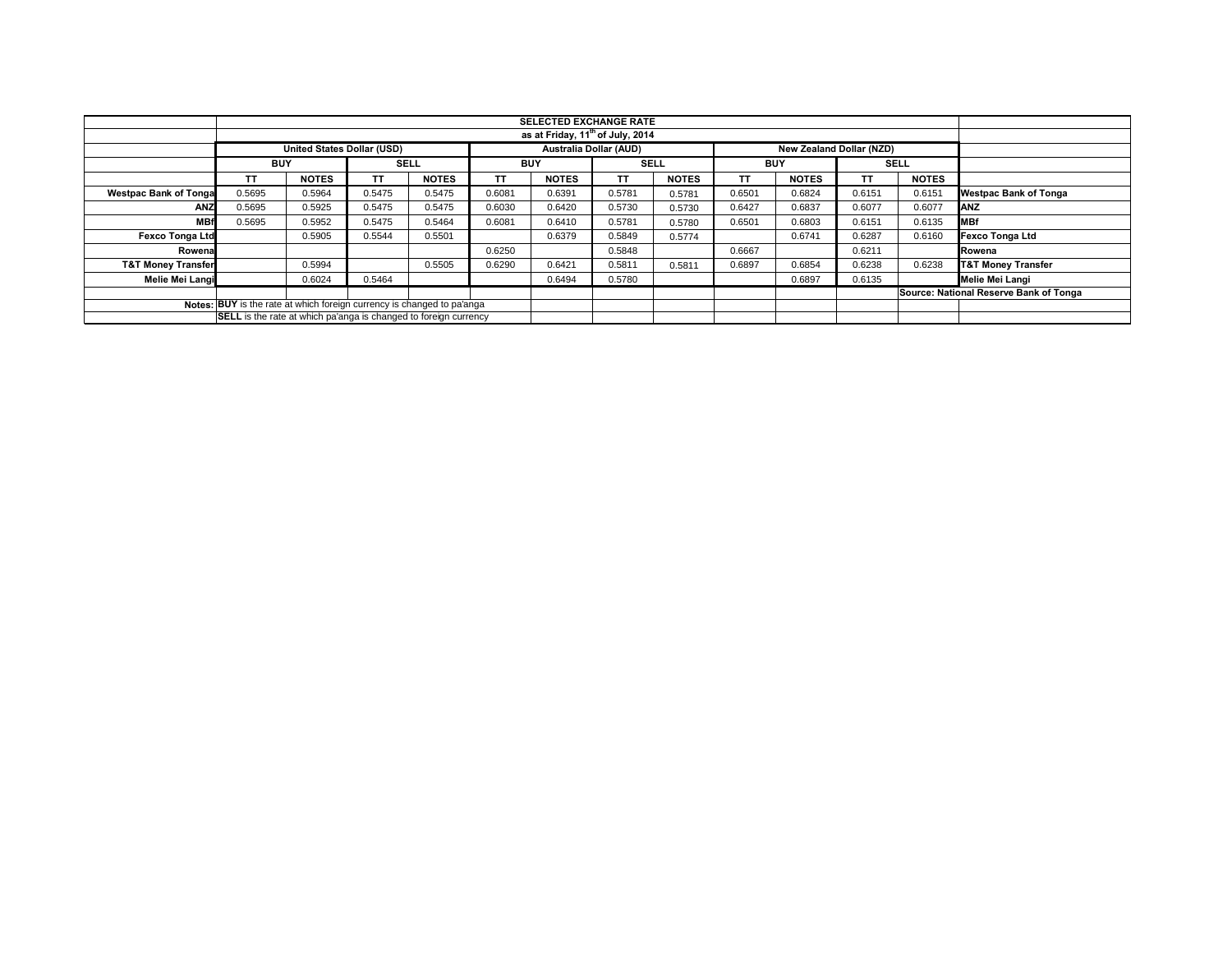|                               |                                                                         |                                   |        |              |            | <b>SELECTED EXCHANGE RATE</b>                |        |              |            |                                 |                                        |              |                               |
|-------------------------------|-------------------------------------------------------------------------|-----------------------------------|--------|--------------|------------|----------------------------------------------|--------|--------------|------------|---------------------------------|----------------------------------------|--------------|-------------------------------|
|                               |                                                                         |                                   |        |              |            | as at Friday, 11 <sup>th</sup> of July, 2014 |        |              |            |                                 |                                        |              |                               |
|                               |                                                                         | <b>United States Dollar (USD)</b> |        |              |            | <b>Australia Dollar (AUD)</b>                |        |              |            | <b>New Zealand Dollar (NZD)</b> |                                        |              |                               |
|                               | <b>BUY</b>                                                              |                                   |        | <b>SELL</b>  | <b>BUY</b> |                                              | SELL   |              | <b>BUY</b> |                                 |                                        | <b>SELL</b>  |                               |
|                               | ΤT                                                                      | <b>NOTES</b>                      | ΤT     | <b>NOTES</b> | TΤ         | <b>NOTES</b>                                 | ΤT     | <b>NOTES</b> | TΤ         | <b>NOTES</b>                    | TΤ                                     | <b>NOTES</b> |                               |
| <b>Westpac Bank of Tonga</b>  | 0.5695                                                                  | 0.5964                            | 0.5475 | 0.5475       | 0.6081     | 0.6391                                       | 0.5781 | 0.5781       | 0.6501     | 0.6824                          | 0.6151                                 | 0.6151       | <b>Westpac Bank of Tonga</b>  |
| ANZ                           | 0.5695                                                                  | 0.5925                            | 0.5475 | 0.5475       | 0.6030     | 0.6420                                       | 0.5730 | 0.5730       | 0.6427     | 0.6837                          | 0.6077                                 | 0.6077       | <b>ANZ</b>                    |
| <b>MBf</b>                    | 0.5695                                                                  | 0.5952                            | 0.5475 | 0.5464       | 0.6081     | 0.6410                                       | 0.5781 | 0.5780       | 0.6501     | 0.6803                          | 0.6151                                 | 0.6135       | <b>MBf</b>                    |
| <b>Fexco Tonga Ltd</b>        |                                                                         | 0.5905                            | 0.5544 | 0.5501       |            | 0.6379                                       | 0.5849 | 0.5774       |            | 0.6741                          | 0.6287                                 | 0.6160       | <b>Fexco Tonga Ltd</b>        |
| Rowena                        |                                                                         |                                   |        |              | 0.6250     |                                              | 0.5848 |              | 0.6667     |                                 | 0.6211                                 |              | Rowena                        |
| <b>T&amp;T Money Transfer</b> |                                                                         | 0.5994                            |        | 0.5505       | 0.6290     | 0.6421                                       | 0.5811 | 0.5811       | 0.6897     | 0.6854                          | 0.6238                                 | 0.6238       | <b>T&amp;T Money Transfer</b> |
| Melie Mei Langi               |                                                                         | 0.6024                            | 0.5464 |              |            | 0.6494                                       | 0.5780 |              |            | 0.6897                          | 0.6135                                 |              | Melie Mei Langi               |
|                               |                                                                         |                                   |        |              |            |                                              |        |              |            |                                 | Source: National Reserve Bank of Tonga |              |                               |
|                               | Notes: BUY is the rate at which foreign currency is changed to pa'anga  |                                   |        |              |            |                                              |        |              |            |                                 |                                        |              |                               |
|                               | <b>SELL</b> is the rate at which pa'anga is changed to foreign currency |                                   |        |              |            |                                              |        |              |            |                                 |                                        |              |                               |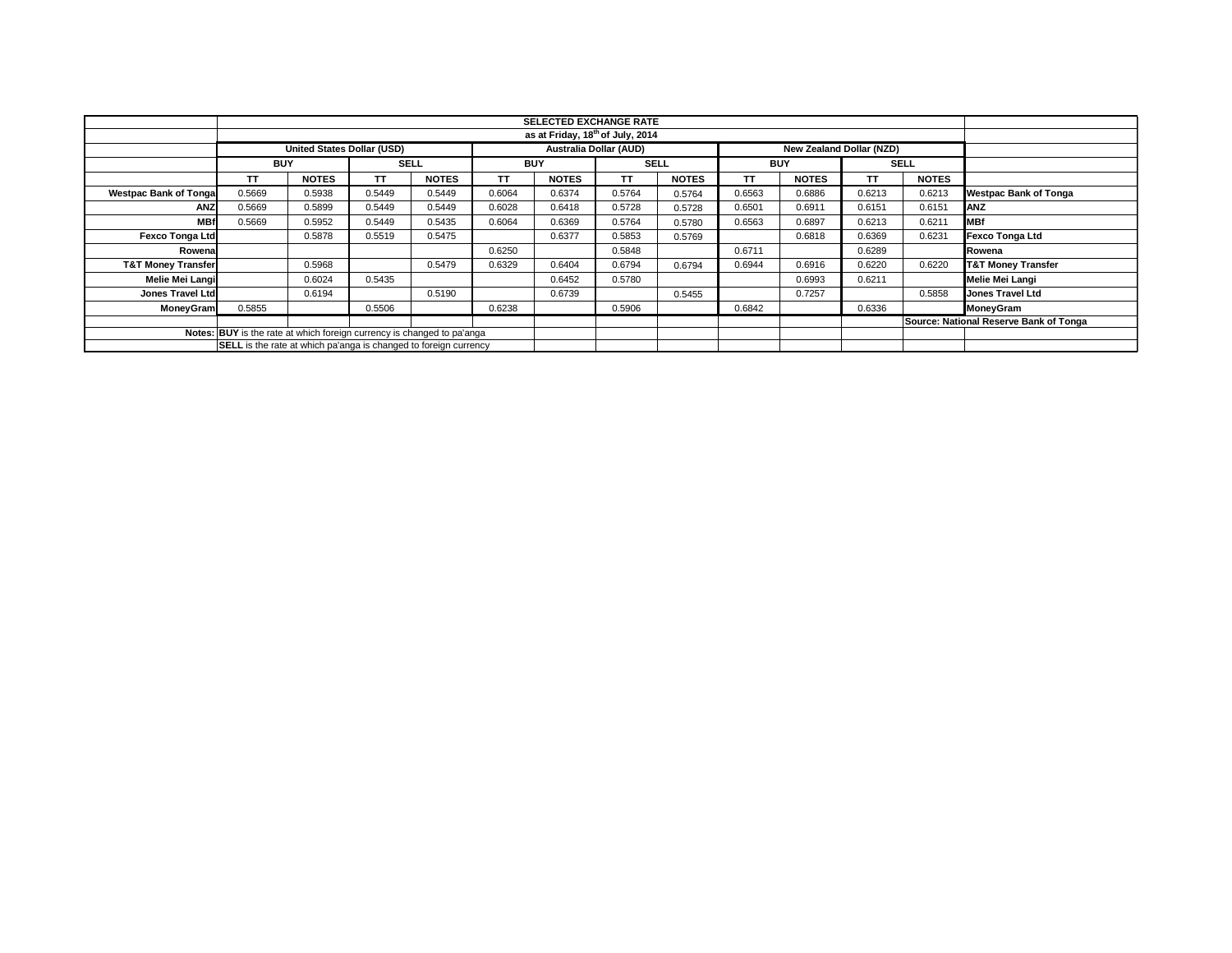|                               |                                                                         |                                   |             |              |            | <b>SELECTED EXCHANGE RATE</b>                |             |              |            |                          |             |              |                                        |
|-------------------------------|-------------------------------------------------------------------------|-----------------------------------|-------------|--------------|------------|----------------------------------------------|-------------|--------------|------------|--------------------------|-------------|--------------|----------------------------------------|
|                               |                                                                         |                                   |             |              |            | as at Friday, 18 <sup>th</sup> of July, 2014 |             |              |            |                          |             |              |                                        |
|                               |                                                                         | <b>United States Dollar (USD)</b> |             |              |            | Australia Dollar (AUD)                       |             |              |            | New Zealand Dollar (NZD) |             |              |                                        |
|                               | <b>BUY</b>                                                              |                                   | <b>SELL</b> |              | <b>BUY</b> |                                              | <b>SELL</b> |              | <b>BUY</b> |                          | <b>SELL</b> |              |                                        |
|                               | TΤ                                                                      | <b>NOTES</b>                      | ТT          | <b>NOTES</b> | TΤ         | <b>NOTES</b>                                 | TΤ          | <b>NOTES</b> | TΤ         | <b>NOTES</b>             | TΤ          | <b>NOTES</b> |                                        |
| <b>Westpac Bank of Tongal</b> | 0.5669                                                                  | 0.5938                            | 0.5449      | 0.5449       | 0.6064     | 0.6374                                       | 0.5764      | 0.5764       | 0.6563     | 0.6886                   | 0.6213      | 0.6213       | <b>Westpac Bank of Tonga</b>           |
| ANZ                           | 0.5669                                                                  | 0.5899                            | 0.5449      | 0.5449       | 0.6028     | 0.6418                                       | 0.5728      | 0.5728       | 0.6501     | 0.6911                   | 0.6151      | 0.6151       | <b>ANZ</b>                             |
| <b>MBf</b>                    | 0.5669                                                                  | 0.5952                            | 0.5449      | 0.5435       | 0.6064     | 0.6369                                       | 0.5764      | 0.5780       | 0.6563     | 0.6897                   | 0.6213      | 0.6211       | <b>MBf</b>                             |
| <b>Fexco Tonga Ltd</b>        |                                                                         | 0.5878                            | 0.5519      | 0.5475       |            | 0.6377                                       | 0.5853      | 0.5769       |            | 0.6818                   | 0.6369      | 0.6231       | <b>Fexco Tonga Ltd</b>                 |
| Rowena                        |                                                                         |                                   |             |              | 0.6250     |                                              | 0.5848      |              | 0.6711     |                          | 0.6289      |              | Rowena                                 |
| <b>T&amp;T Money Transfer</b> |                                                                         | 0.5968                            |             | 0.5479       | 0.6329     | 0.6404                                       | 0.6794      | 0.6794       | 0.6944     | 0.6916                   | 0.6220      | 0.6220       | <b>T&amp;T Money Transfer</b>          |
| Melie Mei Langi               |                                                                         | 0.6024                            | 0.5435      |              |            | 0.6452                                       | 0.5780      |              |            | 0.6993                   | 0.6211      |              | <b>Melie Mei Langi</b>                 |
| <b>Jones Travel Ltd</b>       |                                                                         | 0.6194                            |             | 0.5190       |            | 0.6739                                       |             | 0.5455       |            | 0.7257                   |             | 0.5858       | Jones Travel Ltd                       |
| MoneyGram                     | 0.5855                                                                  |                                   | 0.5506      |              | 0.6238     |                                              | 0.5906      |              | 0.6842     |                          | 0.6336      |              | <b>MoneyGram</b>                       |
|                               |                                                                         |                                   |             |              |            |                                              |             |              |            |                          |             |              | Source: National Reserve Bank of Tonga |
|                               | Notes: BUY is the rate at which foreign currency is changed to pa'anga  |                                   |             |              |            |                                              |             |              |            |                          |             |              |                                        |
|                               | <b>SELL</b> is the rate at which pa'anga is changed to foreign currency |                                   |             |              |            |                                              |             |              |            |                          |             |              |                                        |